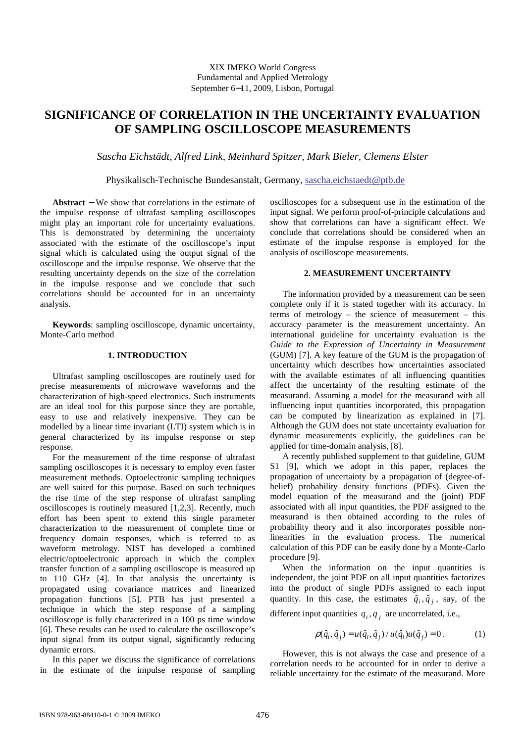# **SIGNIFICANCE OF CORRELATION IN THE UNCERTAINTY EVALUATION OF SAMPLING OSCILLOSCOPE MEASUREMENTS**

*Sascha Eichstädt, Alfred Link, Meinhard Spitzer, Mark Bieler, Clemens Elster*

Physikalisch-Technische Bundesanstalt, Germany, sascha.eichstaedt@ptb.de

**Abstract** − We show that correlations in the estimate of the impulse response of ultrafast sampling oscilloscopes might play an important role for uncertainty evaluations. This is demonstrated by determining the uncertainty associated with the estimate of the oscilloscope's input signal which is calculated using the output signal of the oscilloscope and the impulse response. We observe that the resulting uncertainty depends on the size of the correlation in the impulse response and we conclude that such correlations should be accounted for in an uncertainty analysis.

**Keywords**: sampling oscilloscope, dynamic uncertainty, Monte-Carlo method

## **1. INTRODUCTION**

Ultrafast sampling oscilloscopes are routinely used for precise measurements of microwave waveforms and the characterization of high-speed electronics. Such instruments are an ideal tool for this purpose since they are portable, easy to use and relatively inexpensive. They can be modelled by a linear time invariant (LTI) system which is in general characterized by its impulse response or step response.

For the measurement of the time response of ultrafast sampling oscilloscopes it is necessary to employ even faster measurement methods. Optoelectronic sampling techniques are well suited for this purpose. Based on such techniques the rise time of the step response of ultrafast sampling oscilloscopes is routinely measured [1,2,3]. Recently, much effort has been spent to extend this single parameter characterization to the measurement of complete time or frequency domain responses, which is referred to as waveform metrology. NIST has developed a combined electric/optoelectronic approach in which the complex transfer function of a sampling oscilloscope is measured up to 110 GHz [4]. In that analysis the uncertainty is propagated using covariance matrices and linearized propagation functions [5]. PTB has just presented a technique in which the step response of a sampling oscilloscope is fully characterized in a 100 ps time window [6]. These results can be used to calculate the oscilloscope's input signal from its output signal, significantly reducing dynamic errors.

In this paper we discuss the significance of correlations in the estimate of the impulse response of sampling oscilloscopes for a subsequent use in the estimation of the input signal. We perform proof-of-principle calculations and show that correlations can have a significant effect. We conclude that correlations should be considered when an estimate of the impulse response is employed for the analysis of oscilloscope measurements.

### **2. MEASUREMENT UNCERTAINTY**

The information provided by a measurement can be seen complete only if it is stated together with its accuracy. In terms of metrology – the science of measurement – this accuracy parameter is the measurement uncertainty. An international guideline for uncertainty evaluation is the *Guide to the Expression of Uncertainty in Measurement* (GUM) [7]. A key feature of the GUM is the propagation of uncertainty which describes how uncertainties associated with the available estimates of all influencing quantities affect the uncertainty of the resulting estimate of the measurand. Assuming a model for the measurand with all influencing input quantities incorporated, this propagation can be computed by linearization as explained in [7]. Although the GUM does not state uncertainty evaluation for dynamic measurements explicitly, the guidelines can be applied for time-domain analysis, [8].

A recently published supplement to that guideline, GUM S1 [9], which we adopt in this paper, replaces the propagation of uncertainty by a propagation of (degree-ofbelief) probability density functions (PDFs). Given the model equation of the measurand and the (joint) PDF associated with all input quantities, the PDF assigned to the measurand is then obtained according to the rules of probability theory and it also incorporates possible nonlinearities in the evaluation process. The numerical calculation of this PDF can be easily done by a Monte-Carlo procedure [9].

When the information on the input quantities is independent, the joint PDF on all input quantities factorizes into the product of single PDFs assigned to each input quantity. In this case, the estimates  $\hat{q}_i, \hat{q}_j$ , say, of the

different input quantities  $q_i, q_j$  are uncorrelated, i.e.,

$$
\rho(\hat{q}_i, \hat{q}_j) = u(\hat{q}_i, \hat{q}_j) / u(\hat{q}_i)u(\hat{q}_j) = 0.
$$
 (1)

However, this is not always the case and presence of a correlation needs to be accounted for in order to derive a reliable uncertainty for the estimate of the measurand. More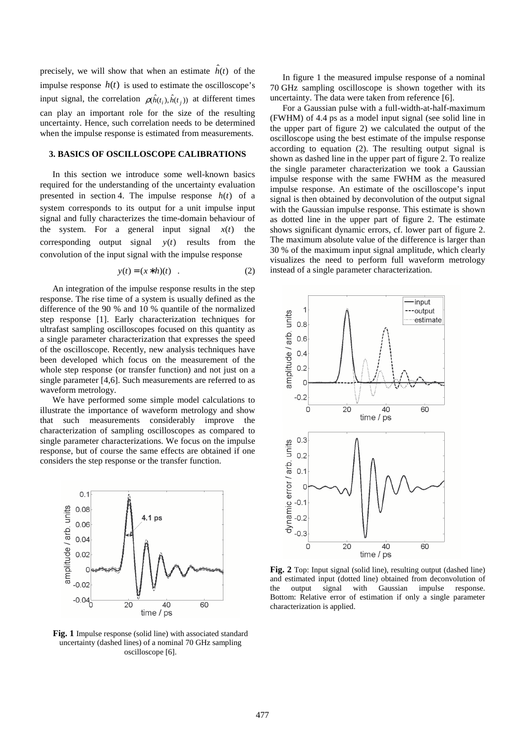precisely, we will show that when an estimate  $\hat{h}(t)$  of the impulse response  $h(t)$  is used to estimate the oscilloscope's input signal, the correlation  $\rho(\hat{h}(t_i), \hat{h}(t_j))$  at different times can play an important role for the size of the resulting uncertainty. Hence, such correlation needs to be determined when the impulse response is estimated from measurements.

# **3. BASICS OF OSCILLOSCOPE CALIBRATIONS**

In this section we introduce some well-known basics required for the understanding of the uncertainty evaluation presented in section 4. The impulse response *h*(*t*) of a system corresponds to its output for a unit impulse input signal and fully characterizes the time-domain behaviour of the system. For a general input signal  $x(t)$  the corresponding output signal *y*(*t*) results from the convolution of the input signal with the impulse response

$$
y(t) = (x * h)(t) . \tag{2}
$$

An integration of the impulse response results in the step response. The rise time of a system is usually defined as the difference of the 90 % and 10 % quantile of the normalized step response [1]. Early characterization techniques for ultrafast sampling oscilloscopes focused on this quantity as a single parameter characterization that expresses the speed of the oscilloscope. Recently, new analysis techniques have been developed which focus on the measurement of the whole step response (or transfer function) and not just on a single parameter [4,6]. Such measurements are referred to as waveform metrology.

We have performed some simple model calculations to illustrate the importance of waveform metrology and show that such measurements considerably improve the characterization of sampling oscilloscopes as compared to single parameter characterizations. We focus on the impulse response, but of course the same effects are obtained if one considers the step response or the transfer function.



**Fig. 1** Impulse response (solid line) with associated standard uncertainty (dashed lines) of a nominal 70 GHz sampling oscilloscope [6].

In figure 1 the measured impulse response of a nominal 70 GHz sampling oscilloscope is shown together with its uncertainty. The data were taken from reference [6].

For a Gaussian pulse with a full-width-at-half-maximum (FWHM) of 4.4 ps as a model input signal (see solid line in the upper part of figure 2) we calculated the output of the oscilloscope using the best estimate of the impulse response according to equation (2). The resulting output signal is shown as dashed line in the upper part of figure 2. To realize the single parameter characterization we took a Gaussian impulse response with the same FWHM as the measured impulse response. An estimate of the oscilloscope's input signal is then obtained by deconvolution of the output signal with the Gaussian impulse response. This estimate is shown as dotted line in the upper part of figure 2. The estimate shows significant dynamic errors, cf. lower part of figure 2. The maximum absolute value of the difference is larger than 30 % of the maximum input signal amplitude, which clearly visualizes the need to perform full waveform metrology instead of a single parameter characterization.



**Fig. 2** Top: Input signal (solid line), resulting output (dashed line) and estimated input (dotted line) obtained from deconvolution of the output signal with Gaussian impulse response. Bottom: Relative error of estimation if only a single parameter characterization is applied.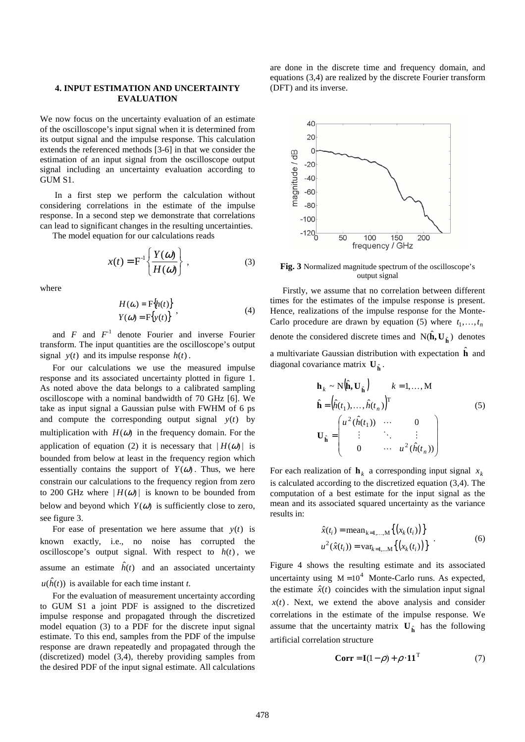### **4. INPUT ESTIMATION AND UNCERTAINTY EVALUATION**

We now focus on the uncertainty evaluation of an estimate of the oscilloscope's input signal when it is determined from its output signal and the impulse response. This calculation extends the referenced methods [3-6] in that we consider the estimation of an input signal from the oscilloscope output signal including an uncertainty evaluation according to GUM S1.

 In a first step we perform the calculation without considering correlations in the estimate of the impulse response. In a second step we demonstrate that correlations can lead to significant changes in the resulting uncertainties.

The model equation for our calculations reads

$$
x(t) = F^{-1}\left\{\frac{Y(\omega)}{H(\omega)}\right\},
$$
 (3)

where

$$
H(\omega) = \mathbf{F}\{h(t)\}
$$
  
\n
$$
Y(\omega) = \mathbf{F}\{y(t)\}
$$
 (4)

and  $F$  and  $F<sup>-1</sup>$  denote Fourier and inverse Fourier transform. The input quantities are the oscilloscope's output signal  $y(t)$  and its impulse response  $h(t)$ .

For our calculations we use the measured impulse response and its associated uncertainty plotted in figure 1. As noted above the data belongs to a calibrated sampling oscilloscope with a nominal bandwidth of 70 GHz [6]. We take as input signal a Gaussian pulse with FWHM of 6 ps and compute the corresponding output signal  $y(t)$  by multiplication with  $H(\omega)$  in the frequency domain. For the application of equation (2) it is necessary that  $|H(\omega)|$  is bounded from below at least in the frequency region which essentially contains the support of  $Y(\omega)$ . Thus, we here constrain our calculations to the frequency region from zero to 200 GHz where  $|H(\omega)|$  is known to be bounded from below and beyond which  $Y(\omega)$  is sufficiently close to zero, see figure 3.

For ease of presentation we here assume that *y*(*t*) is known exactly, i.e., no noise has corrupted the oscilloscope's output signal. With respect to  $h(t)$ , we assume an estimate  $\hat{h}(t)$  and an associated uncertainty  $u(\hat{h}(t))$  is available for each time instant *t*.

For the evaluation of measurement uncertainty according to GUM S1 a joint PDF is assigned to the discretized impulse response and propagated through the discretized model equation (3) to a PDF for the discrete input signal estimate. To this end, samples from the PDF of the impulse response are drawn repeatedly and propagated through the (discretized) model (3,4), thereby providing samples from the desired PDF of the input signal estimate. All calculations

are done in the discrete time and frequency domain, and equations (3,4) are realized by the discrete Fourier transform (DFT) and its inverse.



**Fig. 3** Normalized magnitude spectrum of the oscilloscope's output signal

Firstly, we assume that no correlation between different times for the estimates of the impulse response is present. Hence, realizations of the impulse response for the Monte-Carlo procedure are drawn by equation (5) where  $t_1, \ldots, t_n$ denote the considered discrete times and  $N(\hat{\mathbf{h}}, \mathbf{U}_{\hat{\mathbf{h}}})$  denotes a multivariate Gaussian distribution with expectation  $\hat{\mathbf{h}}$  and diagonal covariance matrix  $\mathbf{U}_{\hat{\mathbf{h}}}$ .

$$
\mathbf{h}_{k} \sim N(\hat{\mathbf{h}}, \mathbf{U}_{\hat{\mathbf{h}}}) \qquad k = 1, ..., M
$$
  
\n
$$
\hat{\mathbf{h}} = (\hat{h}(t_{1}), ..., \hat{h}(t_{n}))^{T}
$$
\n
$$
\mathbf{U}_{\hat{\mathbf{h}}} = \begin{pmatrix} u^{2} (\hat{h}(t_{1})) & \cdots & 0 \\ \vdots & \ddots & \vdots \\ 0 & \cdots & u^{2} (\hat{h}(t_{n})) \end{pmatrix}
$$
\n(5)

For each realization of  $\mathbf{h}_k$  a corresponding input signal  $x_k$ is calculated according to the discretized equation (3,4). The computation of a best estimate for the input signal as the mean and its associated squared uncertainty as the variance results in:

$$
\hat{x}(t_i) = \text{mean}_{k=1,...,M} \{ (x_k(t_i)) \}
$$
  

$$
u^2(\hat{x}(t_i)) = \text{var}_{k=1,...,M} \{ (x_k(t_i)) \}
$$
 (6)

Figure 4 shows the resulting estimate and its associated uncertainty using  $M = 10<sup>4</sup>$  Monte-Carlo runs. As expected, the estimate  $\hat{x}(t)$  coincides with the simulation input signal  $x(t)$ . Next, we extend the above analysis and consider correlations in the estimate of the impulse response. We assume that the uncertainty matrix  $\mathbf{U}_{\hat{\mathbf{h}}}$  has the following artificial correlation structure

$$
\mathbf{Corr} = \mathbf{I}(1 - \rho) + \rho \cdot \mathbf{11}^{\mathrm{T}}
$$
 (7)